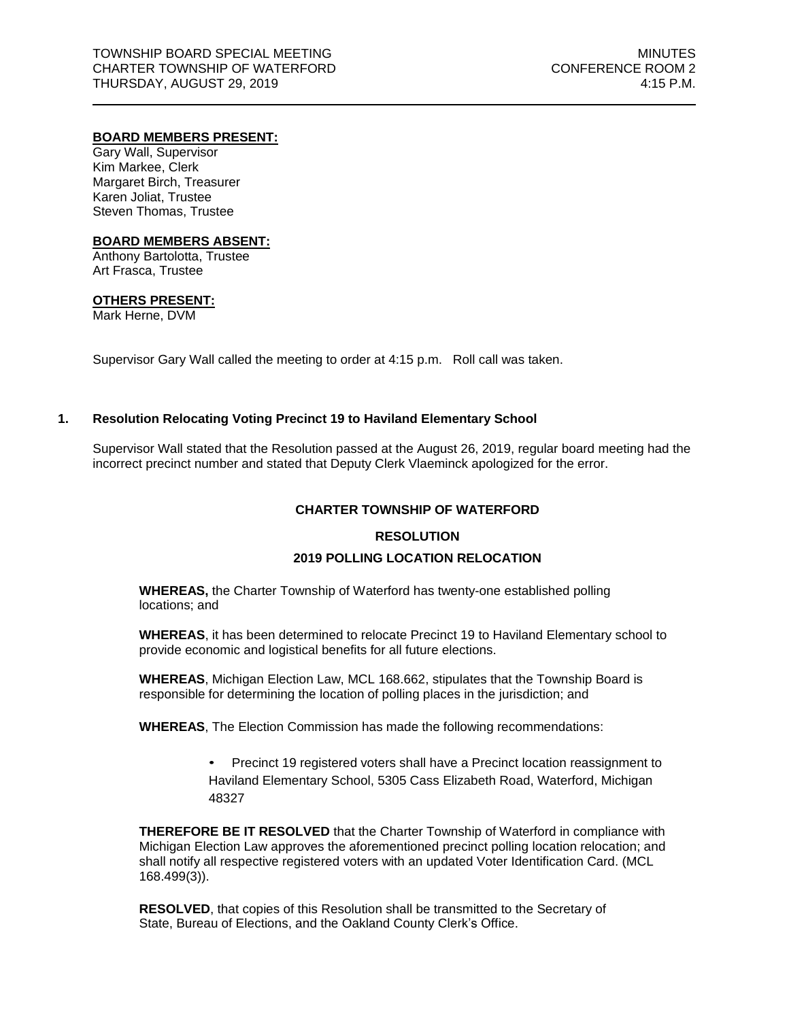### **BOARD MEMBERS PRESENT:**

Gary Wall, Supervisor Kim Markee, Clerk Margaret Birch, Treasurer Karen Joliat, Trustee Steven Thomas, Trustee

#### **BOARD MEMBERS ABSENT:**

Anthony Bartolotta, Trustee Art Frasca, Trustee

# **OTHERS PRESENT:**

Mark Herne, DVM

Supervisor Gary Wall called the meeting to order at 4:15 p.m. Roll call was taken.

# **1. Resolution Relocating Voting Precinct 19 to Haviland Elementary School**

Supervisor Wall stated that the Resolution passed at the August 26, 2019, regular board meeting had the incorrect precinct number and stated that Deputy Clerk Vlaeminck apologized for the error.

### **CHARTER TOWNSHIP OF WATERFORD**

#### **RESOLUTION**

#### **2019 POLLING LOCATION RELOCATION**

**WHEREAS,** the Charter Township of Waterford has twenty-one established polling locations; and

**WHEREAS**, it has been determined to relocate Precinct 19 to Haviland Elementary school to provide economic and logistical benefits for all future elections.

**WHEREAS**, Michigan Election Law, MCL 168.662, stipulates that the Township Board is responsible for determining the location of polling places in the jurisdiction; and

**WHEREAS**, The Election Commission has made the following recommendations:

• Precinct 19 registered voters shall have a Precinct location reassignment to Haviland Elementary School, 5305 Cass Elizabeth Road, Waterford, Michigan 48327

**THEREFORE BE IT RESOLVED** that the Charter Township of Waterford in compliance with Michigan Election Law approves the aforementioned precinct polling location relocation; and shall notify all respective registered voters with an updated Voter Identification Card. (MCL 168.499(3)).

**RESOLVED**, that copies of this Resolution shall be transmitted to the Secretary of State, Bureau of Elections, and the Oakland County Clerk's Office.